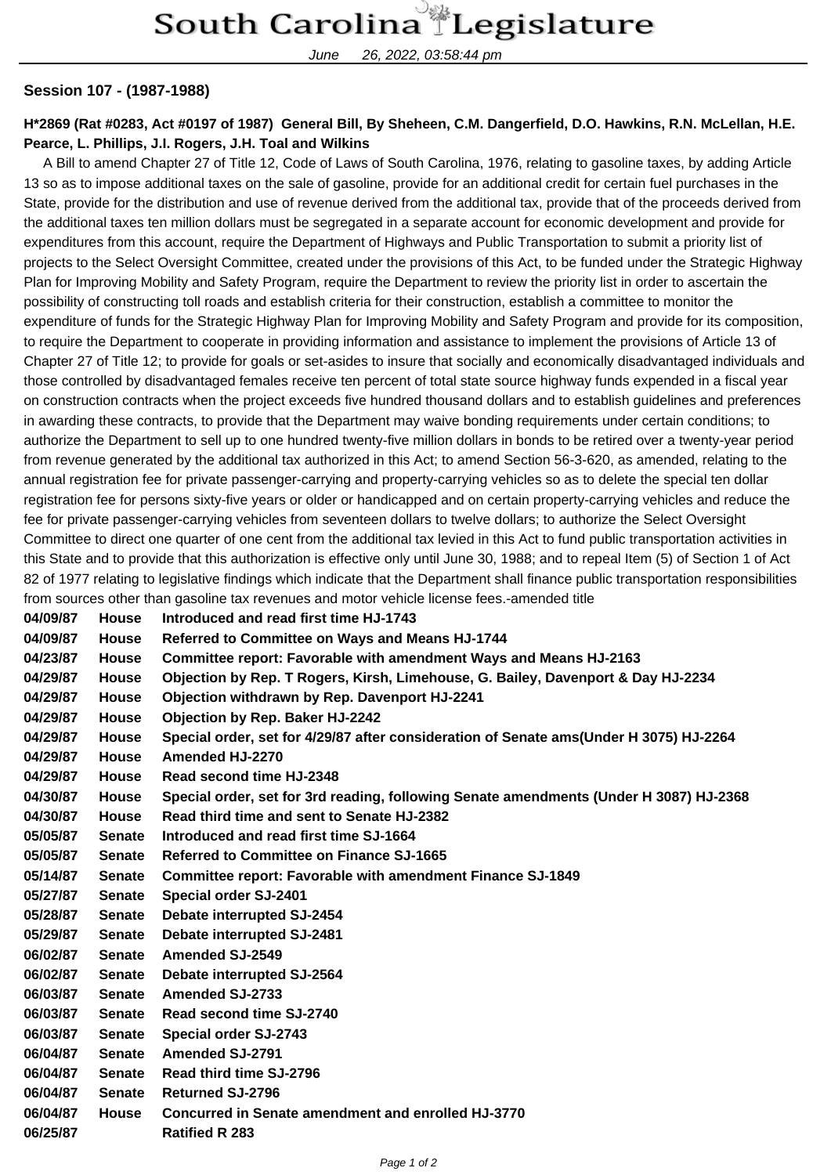June 26, 2022, 03:58:44 pm

## **Session 107 - (1987-1988)**

## **H\*2869 (Rat #0283, Act #0197 of 1987) General Bill, By Sheheen, C.M. Dangerfield, D.O. Hawkins, R.N. McLellan, H.E. Pearce, L. Phillips, J.I. Rogers, J.H. Toal and Wilkins**

 A Bill to amend Chapter 27 of Title 12, Code of Laws of South Carolina, 1976, relating to gasoline taxes, by adding Article 13 so as to impose additional taxes on the sale of gasoline, provide for an additional credit for certain fuel purchases in the State, provide for the distribution and use of revenue derived from the additional tax, provide that of the proceeds derived from the additional taxes ten million dollars must be segregated in a separate account for economic development and provide for expenditures from this account, require the Department of Highways and Public Transportation to submit a priority list of projects to the Select Oversight Committee, created under the provisions of this Act, to be funded under the Strategic Highway Plan for Improving Mobility and Safety Program, require the Department to review the priority list in order to ascertain the possibility of constructing toll roads and establish criteria for their construction, establish a committee to monitor the expenditure of funds for the Strategic Highway Plan for Improving Mobility and Safety Program and provide for its composition, to require the Department to cooperate in providing information and assistance to implement the provisions of Article 13 of Chapter 27 of Title 12; to provide for goals or set-asides to insure that socially and economically disadvantaged individuals and those controlled by disadvantaged females receive ten percent of total state source highway funds expended in a fiscal year on construction contracts when the project exceeds five hundred thousand dollars and to establish guidelines and preferences in awarding these contracts, to provide that the Department may waive bonding requirements under certain conditions; to authorize the Department to sell up to one hundred twenty-five million dollars in bonds to be retired over a twenty-year period from revenue generated by the additional tax authorized in this Act; to amend Section 56-3-620, as amended, relating to the annual registration fee for private passenger-carrying and property-carrying vehicles so as to delete the special ten dollar registration fee for persons sixty-five years or older or handicapped and on certain property-carrying vehicles and reduce the fee for private passenger-carrying vehicles from seventeen dollars to twelve dollars; to authorize the Select Oversight Committee to direct one quarter of one cent from the additional tax levied in this Act to fund public transportation activities in this State and to provide that this authorization is effective only until June 30, 1988; and to repeal Item (5) of Section 1 of Act 82 of 1977 relating to legislative findings which indicate that the Department shall finance public transportation responsibilities from sources other than gasoline tax revenues and motor vehicle license fees.-amended title

| 04/09/87 | <b>House</b>  | Introduced and read first time HJ-1743                                                 |
|----------|---------------|----------------------------------------------------------------------------------------|
| 04/09/87 | <b>House</b>  | Referred to Committee on Ways and Means HJ-1744                                        |
| 04/23/87 | <b>House</b>  | Committee report: Favorable with amendment Ways and Means HJ-2163                      |
| 04/29/87 | <b>House</b>  | Objection by Rep. T Rogers, Kirsh, Limehouse, G. Bailey, Davenport & Day HJ-2234       |
| 04/29/87 | <b>House</b>  | Objection withdrawn by Rep. Davenport HJ-2241                                          |
| 04/29/87 | <b>House</b>  | <b>Objection by Rep. Baker HJ-2242</b>                                                 |
| 04/29/87 | House         | Special order, set for 4/29/87 after consideration of Senate ams(Under H 3075) HJ-2264 |
| 04/29/87 | <b>House</b>  | Amended HJ-2270                                                                        |
| 04/29/87 | <b>House</b>  | Read second time HJ-2348                                                               |
| 04/30/87 | <b>House</b>  | Special order, set for 3rd reading, following Senate amendments (Under H 3087) HJ-2368 |
| 04/30/87 | <b>House</b>  | Read third time and sent to Senate HJ-2382                                             |
| 05/05/87 | <b>Senate</b> | Introduced and read first time SJ-1664                                                 |
| 05/05/87 | <b>Senate</b> | <b>Referred to Committee on Finance SJ-1665</b>                                        |
| 05/14/87 | <b>Senate</b> | <b>Committee report: Favorable with amendment Finance SJ-1849</b>                      |
| 05/27/87 | <b>Senate</b> | Special order SJ-2401                                                                  |
| 05/28/87 | <b>Senate</b> | Debate interrupted SJ-2454                                                             |
| 05/29/87 | <b>Senate</b> | Debate interrupted SJ-2481                                                             |
| 06/02/87 | <b>Senate</b> | <b>Amended SJ-2549</b>                                                                 |
| 06/02/87 | <b>Senate</b> | Debate interrupted SJ-2564                                                             |
| 06/03/87 | <b>Senate</b> | <b>Amended SJ-2733</b>                                                                 |
| 06/03/87 | <b>Senate</b> | Read second time SJ-2740                                                               |
| 06/03/87 | <b>Senate</b> | Special order SJ-2743                                                                  |
| 06/04/87 | <b>Senate</b> | <b>Amended SJ-2791</b>                                                                 |
| 06/04/87 | <b>Senate</b> | Read third time SJ-2796                                                                |
| 06/04/87 | <b>Senate</b> | <b>Returned SJ-2796</b>                                                                |
| 06/04/87 | <b>House</b>  | Concurred in Senate amendment and enrolled HJ-3770                                     |
| 06/25/87 |               | <b>Ratified R 283</b>                                                                  |